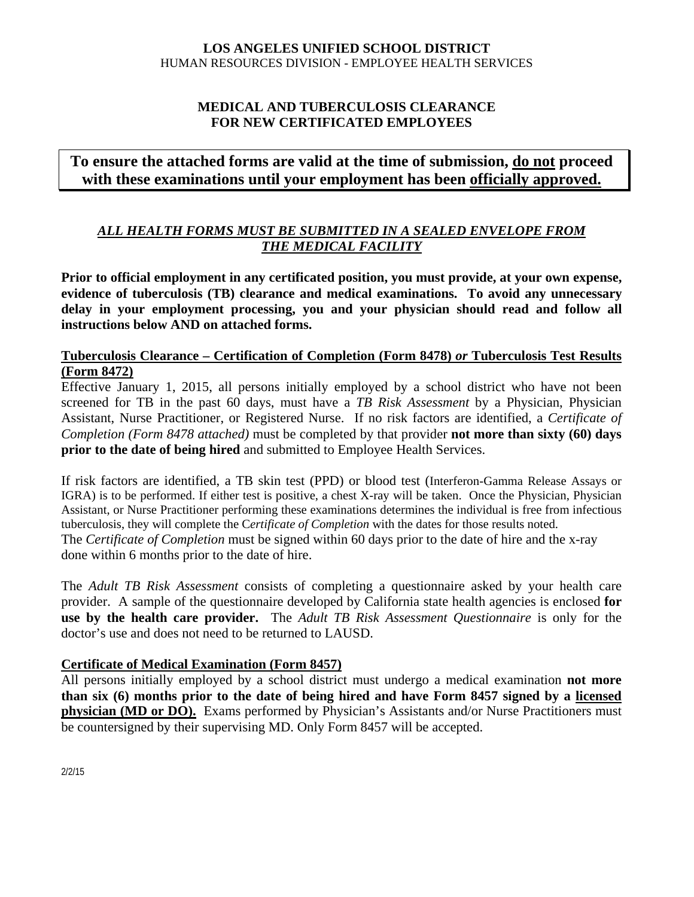### **LOS ANGELES UNIFIED SCHOOL DISTRICT** HUMAN RESOURCES DIVISION - EMPLOYEE HEALTH SERVICES

# **MEDICAL AND TUBERCULOSIS CLEARANCE FOR NEW CERTIFICATED EMPLOYEES**

# **To ensure the attached forms are valid at the time of submission, do not proceed with these examinations until your employment has been officially approved.**

# *ALL HEALTH FORMS MUST BE SUBMITTED IN A SEALED ENVELOPE FROM THE MEDICAL FACILITY*

**Prior to official employment in any certificated position, you must provide, at your own expense, evidence of tuberculosis (TB) clearance and medical examinations. To avoid any unnecessary delay in your employment processing, you and your physician should read and follow all instructions below AND on attached forms.** 

# **Tuberculosis Clearance – Certification of Completion (Form 8478)** *or* **Tuberculosis Test Results (Form 8472)**

Effective January 1, 2015, all persons initially employed by a school district who have not been screened for TB in the past 60 days, must have a *TB Risk Assessment* by a Physician, Physician Assistant, Nurse Practitioner, or Registered Nurse. If no risk factors are identified, a *Certificate of Completion (Form 8478 attached)* must be completed by that provider **not more than sixty (60) days prior to the date of being hired** and submitted to Employee Health Services.

If risk factors are identified, a TB skin test (PPD) or blood test (Interferon-Gamma Release Assays or IGRA) is to be performed. If either test is positive, a chest X-ray will be taken. Once the Physician, Physician Assistant, or Nurse Practitioner performing these examinations determines the individual is free from infectious tuberculosis, they will complete the C*ertificate of Completion* with the dates for those results noted. The *Certificate of Completion* must be signed within 60 days prior to the date of hire and the x-ray done within 6 months prior to the date of hire.

The *Adult TB Risk Assessment* consists of completing a questionnaire asked by your health care provider. A sample of the questionnaire developed by California state health agencies is enclosed **for use by the health care provider.** The *Adult TB Risk Assessment Questionnaire* is only for the doctor's use and does not need to be returned to LAUSD.

### **Certificate of Medical Examination (Form 8457)**

All persons initially employed by a school district must undergo a medical examination **not more than six (6) months prior to the date of being hired and have Form 8457 signed by a licensed physician (MD or DO).** Exams performed by Physician's Assistants and/or Nurse Practitioners must be countersigned by their supervising MD. Only Form 8457 will be accepted.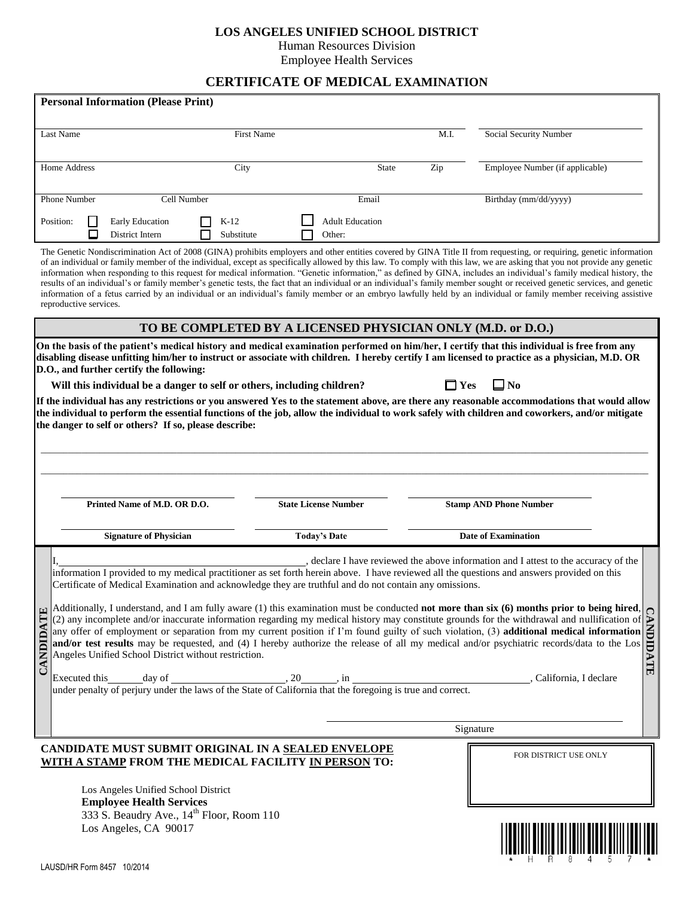#### **LOS ANGELES UNIFIED SCHOOL DISTRICT**

Human Resources Division

Employee Health Services

# **CERTIFICATE OF MEDICAL EXAMINATION**

|              | <b>Personal Information (Please Print)</b>            |                               |                                                                         |                             |                                                                                                             |            |                                                                                                                                                                                                                                                                                                                                                                                                                                                                                                                                                                                                                                                                                                                                                                                                                                                                            |  |
|--------------|-------------------------------------------------------|-------------------------------|-------------------------------------------------------------------------|-----------------------------|-------------------------------------------------------------------------------------------------------------|------------|----------------------------------------------------------------------------------------------------------------------------------------------------------------------------------------------------------------------------------------------------------------------------------------------------------------------------------------------------------------------------------------------------------------------------------------------------------------------------------------------------------------------------------------------------------------------------------------------------------------------------------------------------------------------------------------------------------------------------------------------------------------------------------------------------------------------------------------------------------------------------|--|
|              |                                                       |                               |                                                                         |                             |                                                                                                             |            |                                                                                                                                                                                                                                                                                                                                                                                                                                                                                                                                                                                                                                                                                                                                                                                                                                                                            |  |
| Last Name    |                                                       |                               | <b>First Name</b>                                                       |                             |                                                                                                             | M.I.       | Social Security Number                                                                                                                                                                                                                                                                                                                                                                                                                                                                                                                                                                                                                                                                                                                                                                                                                                                     |  |
| Home Address |                                                       |                               | City                                                                    |                             | State                                                                                                       | Zip        | Employee Number (if applicable)                                                                                                                                                                                                                                                                                                                                                                                                                                                                                                                                                                                                                                                                                                                                                                                                                                            |  |
| Phone Number |                                                       | Cell Number                   |                                                                         |                             | Email                                                                                                       |            | Birthday (mm/dd/yyyy)                                                                                                                                                                                                                                                                                                                                                                                                                                                                                                                                                                                                                                                                                                                                                                                                                                                      |  |
| Position:    | Π<br>District Intern                                  | <b>Early Education</b>        | $K-12$<br>Substitute                                                    |                             | <b>Adult Education</b><br>Other:                                                                            |            |                                                                                                                                                                                                                                                                                                                                                                                                                                                                                                                                                                                                                                                                                                                                                                                                                                                                            |  |
|              | reproductive services.                                |                               |                                                                         |                             |                                                                                                             |            | The Genetic Nondiscrimination Act of 2008 (GINA) prohibits employers and other entities covered by GINA Title II from requesting, or requiring, genetic information<br>of an individual or family member of the individual, except as specifically allowed by this law. To comply with this law, we are asking that you not provide any genetic<br>information when responding to this request for medical information. "Genetic information," as defined by GINA, includes an individual's family medical history, the<br>results of an individual's or family member's genetic tests, the fact that an individual or an individual's family member sought or received genetic services, and genetic<br>information of a fetus carried by an individual or an individual's family member or an embryo lawfully held by an individual or family member receiving assistive |  |
|              |                                                       |                               |                                                                         |                             | TO BE COMPLETED BY A LICENSED PHYSICIAN ONLY (M.D. or D.O.)                                                 |            |                                                                                                                                                                                                                                                                                                                                                                                                                                                                                                                                                                                                                                                                                                                                                                                                                                                                            |  |
|              | D.O., and further certify the following:              |                               |                                                                         |                             |                                                                                                             |            | On the basis of the patient's medical history and medical examination performed on him/her, I certify that this individual is free from any<br>disabling disease unfitting him/her to instruct or associate with children. I hereby certify I am licensed to practice as a physician, M.D. OR                                                                                                                                                                                                                                                                                                                                                                                                                                                                                                                                                                              |  |
|              |                                                       |                               | Will this individual be a danger to self or others, including children? |                             |                                                                                                             | $\Box$ Yes | $\Box$ No                                                                                                                                                                                                                                                                                                                                                                                                                                                                                                                                                                                                                                                                                                                                                                                                                                                                  |  |
|              | the danger to self or others? If so, please describe: |                               |                                                                         |                             |                                                                                                             |            | the individual to perform the essential functions of the job, allow the individual to work safely with children and coworkers, and/or mitigate                                                                                                                                                                                                                                                                                                                                                                                                                                                                                                                                                                                                                                                                                                                             |  |
|              |                                                       |                               |                                                                         |                             |                                                                                                             |            |                                                                                                                                                                                                                                                                                                                                                                                                                                                                                                                                                                                                                                                                                                                                                                                                                                                                            |  |
|              |                                                       | Printed Name of M.D. OR D.O.  |                                                                         | <b>State License Number</b> |                                                                                                             |            | <b>Stamp AND Phone Number</b>                                                                                                                                                                                                                                                                                                                                                                                                                                                                                                                                                                                                                                                                                                                                                                                                                                              |  |
|              |                                                       | <b>Signature of Physician</b> |                                                                         | <b>Today's Date</b>         |                                                                                                             |            | <b>Date of Examination</b>                                                                                                                                                                                                                                                                                                                                                                                                                                                                                                                                                                                                                                                                                                                                                                                                                                                 |  |
|              |                                                       |                               |                                                                         |                             |                                                                                                             |            |                                                                                                                                                                                                                                                                                                                                                                                                                                                                                                                                                                                                                                                                                                                                                                                                                                                                            |  |
|              |                                                       |                               |                                                                         |                             | Certificate of Medical Examination and acknowledge they are truthful and do not contain any omissions.      |            | declare I have reviewed the above information and I attest to the accuracy of the<br>information I provided to my medical practitioner as set forth herein above. I have reviewed all the questions and answers provided on this                                                                                                                                                                                                                                                                                                                                                                                                                                                                                                                                                                                                                                           |  |
| CANDIDATE    |                                                       |                               |                                                                         |                             |                                                                                                             |            | Additionally, I understand, and I am fully aware (1) this examination must be conducted <b>not more than six (0) invited proof</b> we being merric (2) any incomplete and/or inaccurate information regarding my medical history ma<br>, California, I declare                                                                                                                                                                                                                                                                                                                                                                                                                                                                                                                                                                                                             |  |
|              |                                                       |                               |                                                                         |                             | Executed this day of day of the laws of the State of California that the foregoing is true and correct.     |            |                                                                                                                                                                                                                                                                                                                                                                                                                                                                                                                                                                                                                                                                                                                                                                                                                                                                            |  |
|              |                                                       |                               |                                                                         |                             |                                                                                                             |            |                                                                                                                                                                                                                                                                                                                                                                                                                                                                                                                                                                                                                                                                                                                                                                                                                                                                            |  |
|              |                                                       |                               |                                                                         |                             |                                                                                                             |            | Signature                                                                                                                                                                                                                                                                                                                                                                                                                                                                                                                                                                                                                                                                                                                                                                                                                                                                  |  |
|              |                                                       |                               |                                                                         |                             | CANDIDATE MUST SUBMIT ORIGINAL IN A SEALED ENVELOPE<br>WITH A STAMP FROM THE MEDICAL FACILITY IN PERSON TO: |            | FOR DISTRICT USE ONLY                                                                                                                                                                                                                                                                                                                                                                                                                                                                                                                                                                                                                                                                                                                                                                                                                                                      |  |
|              | Los Angeles Unified School District                   |                               |                                                                         |                             |                                                                                                             |            |                                                                                                                                                                                                                                                                                                                                                                                                                                                                                                                                                                                                                                                                                                                                                                                                                                                                            |  |
|              | <b>Employee Health Services</b>                       |                               | 333 S. Beaudry Ave., 14 <sup>th</sup> Floor, Room 110                   |                             |                                                                                                             |            |                                                                                                                                                                                                                                                                                                                                                                                                                                                                                                                                                                                                                                                                                                                                                                                                                                                                            |  |

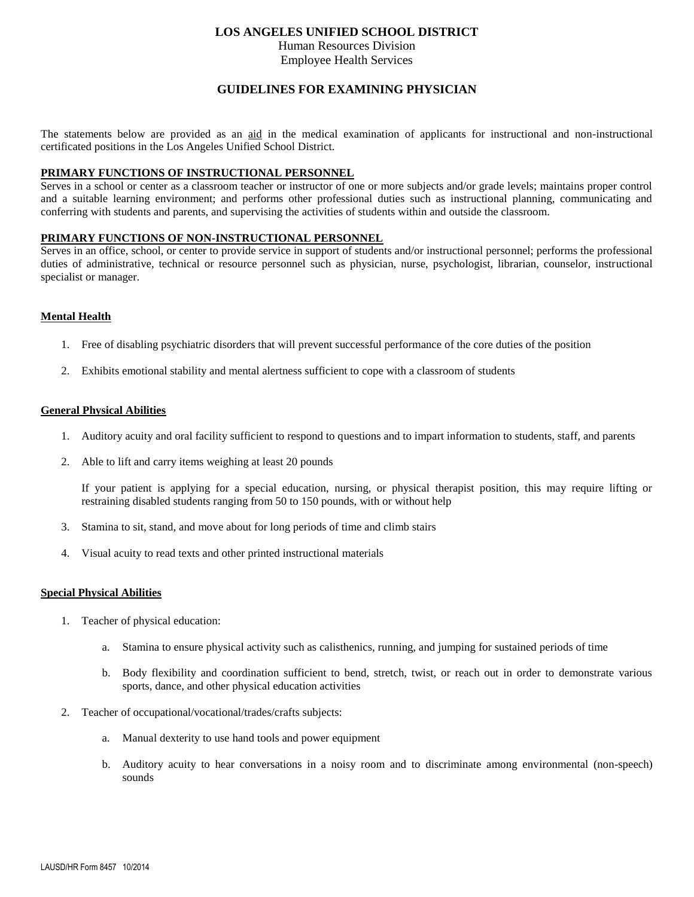#### **LOS ANGELES UNIFIED SCHOOL DISTRICT**

Human Resources Division

#### Employee Health Services

#### **GUIDELINES FOR EXAMINING PHYSICIAN**

The statements below are provided as an aid in the medical examination of applicants for instructional and non-instructional certificated positions in the Los Angeles Unified School District.

#### **PRIMARY FUNCTIONS OF INSTRUCTIONAL PERSONNEL**

Serves in a school or center as a classroom teacher or instructor of one or more subjects and/or grade levels; maintains proper control and a suitable learning environment; and performs other professional duties such as instructional planning, communicating and conferring with students and parents, and supervising the activities of students within and outside the classroom.

#### **PRIMARY FUNCTIONS OF NON-INSTRUCTIONAL PERSONNEL**

Serves in an office, school, or center to provide service in support of students and/or instructional personnel; performs the professional duties of administrative, technical or resource personnel such as physician, nurse, psychologist, librarian, counselor, instructional specialist or manager.

#### **Mental Health**

- 1. Free of disabling psychiatric disorders that will prevent successful performance of the core duties of the position
- 2. Exhibits emotional stability and mental alertness sufficient to cope with a classroom of students

#### **General Physical Abilities**

- 1. Auditory acuity and oral facility sufficient to respond to questions and to impart information to students, staff, and parents
- 2. Able to lift and carry items weighing at least 20 pounds

If your patient is applying for a special education, nursing, or physical therapist position, this may require lifting or restraining disabled students ranging from 50 to 150 pounds, with or without help

- 3. Stamina to sit, stand, and move about for long periods of time and climb stairs
- 4. Visual acuity to read texts and other printed instructional materials

#### **Special Physical Abilities**

- 1. Teacher of physical education:
	- a. Stamina to ensure physical activity such as calisthenics, running, and jumping for sustained periods of time
	- b. Body flexibility and coordination sufficient to bend, stretch, twist, or reach out in order to demonstrate various sports, dance, and other physical education activities
- 2. Teacher of occupational/vocational/trades/crafts subjects:
	- a. Manual dexterity to use hand tools and power equipment
	- b. Auditory acuity to hear conversations in a noisy room and to discriminate among environmental (non-speech) sounds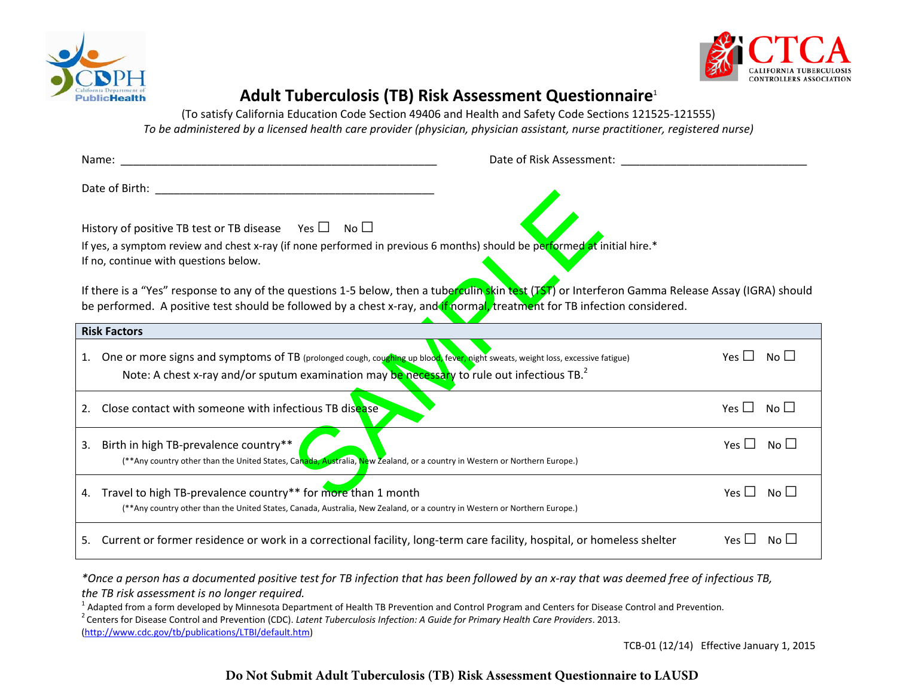



# **Adult Tuberculosis (TB) Risk Assessment Questionnaire**<sup>1</sup>

(To satisfy California Education Code Section 49406 and Health and Safety Code Sections 121525‐121555) To be administered by a licensed health care provider (physician, physician assistant, nurse practitioner, registered nurse)

|                                                                                                                                                                                                                                                                               | Date of Risk Assessment: Date of Risk Assessment:              |  |  |  |  |  |  |
|-------------------------------------------------------------------------------------------------------------------------------------------------------------------------------------------------------------------------------------------------------------------------------|----------------------------------------------------------------|--|--|--|--|--|--|
|                                                                                                                                                                                                                                                                               |                                                                |  |  |  |  |  |  |
| History of positive TB test or TB disease Yes $\Box$ No $\Box$<br>If yes, a symptom review and chest x-ray (if none performed in previous 6 months) should be performed at initial hire.*<br>If no, continue with questions below.                                            |                                                                |  |  |  |  |  |  |
| If there is a "Yes" response to any of the questions 1-5 below, then a tuberculin skin test (TST) or Interferon Gamma Release Assay (IGRA) should<br>be performed. A positive test should be followed by a chest x-ray, and if normal, treatment for TB infection considered. |                                                                |  |  |  |  |  |  |
| <b>Risk Factors</b>                                                                                                                                                                                                                                                           |                                                                |  |  |  |  |  |  |
| 1. One or more signs and symptoms of TB (prolonged cough, coughing up blood, fever, night sweats, weight loss, excessive fatigue)<br>Note: A chest x-ray and/or sputum examination may be necessary to rule out infectious TB. <sup>2</sup>                                   | $\overline{N}$ o $\Box$<br>Yes $\Box$                          |  |  |  |  |  |  |
|                                                                                                                                                                                                                                                                               |                                                                |  |  |  |  |  |  |
| Close contact with someone with infectious TB disease<br>2.                                                                                                                                                                                                                   | No LI<br>Yes $\Box$                                            |  |  |  |  |  |  |
| 3. Birth in high TB-prevalence country**<br>(**Any country other than the United States, Canada, Australia, New Zealand, or a country in Western or Northern Europe.)                                                                                                         | Yes $\Box$<br>$\overline{\mathsf{No}}$ $\overline{\mathsf{L}}$ |  |  |  |  |  |  |
| 4. Travel to high TB-prevalence country <sup>**</sup> for more than 1 month<br>(**Any country other than the United States, Canada, Australia, New Zealand, or a country in Western or Northern Europe.)                                                                      | Yes II<br>$\overline{\mathsf{No}} \ \Box$                      |  |  |  |  |  |  |
| 5. Current or former residence or work in a correctional facility, long-term care facility, hospital, or homeless shelter                                                                                                                                                     | Yes $\Box$<br>$No$ $\Box$                                      |  |  |  |  |  |  |

\*Once a person has a documented positive test for TB infection that has been followed by an x-ray that was deemed free of infectious TB, *the TB risk assessment is no longer required.*

 $^1$  Adapted from a form developed by Minnesota Department of Health TB Prevention and Control Program and Centers for Disease Control and Prevention.

2 Centers for Disease Control and Prevention (CDC). *Latent Tuberculosis Infection: A Guide for Primary Health Care Providers*. 2013.

(http://www.cdc.gov/tb/publications/LTBI/default.htm)

TCB‐01 (12/14) Effective January 1, 2015